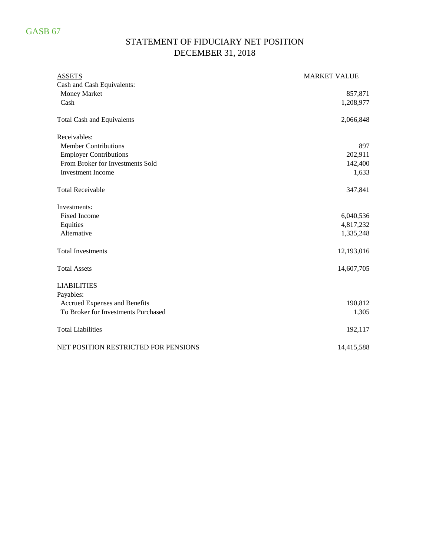## STATEMENT OF FIDUCIARY NET POSITION DECEMBER 31, 2018

| <b>ASSETS</b>                        | <b>MARKET VALUE</b> |
|--------------------------------------|---------------------|
| Cash and Cash Equivalents:           |                     |
| Money Market                         | 857,871             |
| Cash                                 | 1,208,977           |
| <b>Total Cash and Equivalents</b>    | 2,066,848           |
| Receivables:                         |                     |
| <b>Member Contributions</b>          | 897                 |
| <b>Employer Contributions</b>        | 202,911             |
| From Broker for Investments Sold     | 142,400             |
| <b>Investment Income</b>             | 1,633               |
| <b>Total Receivable</b>              | 347,841             |
| Investments:                         |                     |
| <b>Fixed Income</b>                  | 6,040,536           |
| Equities                             | 4,817,232           |
| Alternative                          | 1,335,248           |
| <b>Total Investments</b>             | 12,193,016          |
| <b>Total Assets</b>                  | 14,607,705          |
| <b>LIABILITIES</b>                   |                     |
| Payables:                            |                     |
| Accrued Expenses and Benefits        | 190,812             |
| To Broker for Investments Purchased  | 1,305               |
| <b>Total Liabilities</b>             | 192,117             |
| NET POSITION RESTRICTED FOR PENSIONS | 14,415,588          |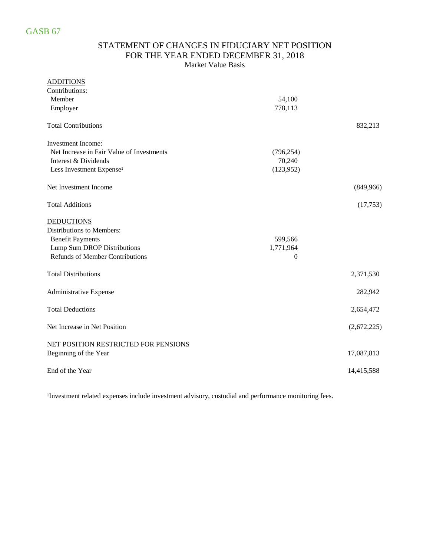### STATEMENT OF CHANGES IN FIDUCIARY NET POSITION FOR THE YEAR ENDED DECEMBER 31, 2018 Market Value Basis

| <b>ADDITIONS</b>                          |                |             |
|-------------------------------------------|----------------|-------------|
| Contributions:                            |                |             |
| Member                                    | 54,100         |             |
| Employer                                  | 778,113        |             |
| <b>Total Contributions</b>                |                | 832,213     |
| Investment Income:                        |                |             |
| Net Increase in Fair Value of Investments | (796, 254)     |             |
| Interest & Dividends                      | 70,240         |             |
| Less Investment Expense <sup>1</sup>      | (123, 952)     |             |
| Net Investment Income                     |                | (849,966)   |
| <b>Total Additions</b>                    |                | (17,753)    |
| <b>DEDUCTIONS</b>                         |                |             |
| Distributions to Members:                 |                |             |
| <b>Benefit Payments</b>                   | 599,566        |             |
| Lump Sum DROP Distributions               | 1,771,964      |             |
| <b>Refunds of Member Contributions</b>    | $\overline{0}$ |             |
| <b>Total Distributions</b>                |                | 2,371,530   |
| Administrative Expense                    |                | 282,942     |
| <b>Total Deductions</b>                   |                | 2,654,472   |
| Net Increase in Net Position              |                | (2,672,225) |
| NET POSITION RESTRICTED FOR PENSIONS      |                |             |
| Beginning of the Year                     |                | 17,087,813  |
| End of the Year                           |                | 14,415,588  |

<sup>1</sup>Investment related expenses include investment advisory, custodial and performance monitoring fees.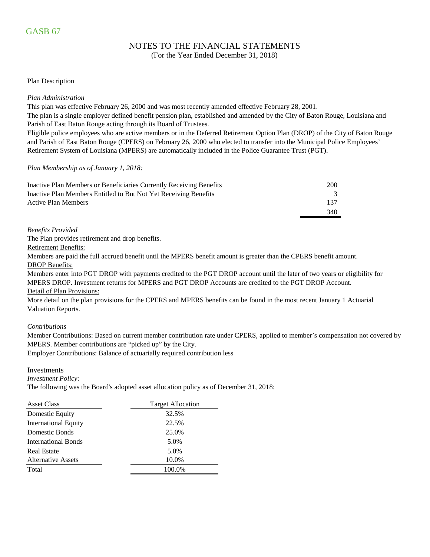## NOTES TO THE FINANCIAL STATEMENTS

(For the Year Ended December 31, 2018)

#### Plan Description

#### *Plan Administration*

This plan was effective February 26, 2000 and was most recently amended effective February 28, 2001.

The plan is a single employer defined benefit pension plan, established and amended by the City of Baton Rouge, Louisiana and Parish of East Baton Rouge acting through its Board of Trustees.

Eligible police employees who are active members or in the Deferred Retirement Option Plan (DROP) of the City of Baton Rouge and Parish of East Baton Rouge (CPERS) on February 26, 2000 who elected to transfer into the Municipal Police Employees' Retirement System of Louisiana (MPERS) are automatically included in the Police Guarantee Trust (PGT).

#### *Plan Membership as of January 1, 2018:*

| Inactive Plan Members or Beneficiaries Currently Receiving Benefits | 200 |
|---------------------------------------------------------------------|-----|
| Inactive Plan Members Entitled to But Not Yet Receiving Benefits    |     |
| <b>Active Plan Members</b>                                          | 137 |
|                                                                     | 340 |

#### *Benefits Provided*

The Plan provides retirement and drop benefits.

Retirement Benefits:

DROP Benefits: Members are paid the full accrued benefit until the MPERS benefit amount is greater than the CPERS benefit amount.

Detail of Plan Provisions: Members enter into PGT DROP with payments credited to the PGT DROP account until the later of two years or eligibility for MPERS DROP. Investment returns for MPERS and PGT DROP Accounts are credited to the PGT DROP Account.

More detail on the plan provisions for the CPERS and MPERS benefits can be found in the most recent January 1 Actuarial Valuation Reports.

#### *Contributions*

Member Contributions: Based on current member contribution rate under CPERS, applied to member's compensation not covered by MPERS. Member contributions are "picked up" by the City.

Employer Contributions: Balance of actuarially required contribution less

Investments

*Investment Policy:*

The following was the Board's adopted asset allocation policy as of December 31, 2018:

| <b>Asset Class</b>          | <b>Target Allocation</b> |
|-----------------------------|--------------------------|
| Domestic Equity             | 32.5%                    |
| <b>International Equity</b> | 22.5%                    |
| Domestic Bonds              | 25.0%                    |
| <b>International Bonds</b>  | 5.0%                     |
| <b>Real Estate</b>          | 5.0%                     |
| <b>Alternative Assets</b>   | 10.0%                    |
| Total                       | 100.0%                   |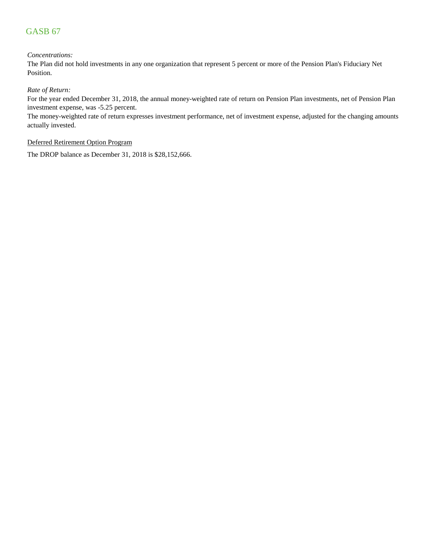#### *Concentrations:*

The Plan did not hold investments in any one organization that represent 5 percent or more of the Pension Plan's Fiduciary Net Position.

#### *Rate of Return:*

For the year ended December 31, 2018, the annual money-weighted rate of return on Pension Plan investments, net of Pension Plan investment expense, was -5.25 percent.

The money-weighted rate of return expresses investment performance, net of investment expense, adjusted for the changing amounts actually invested.

#### Deferred Retirement Option Program

The DROP balance as December 31, 2018 is \$28,152,666.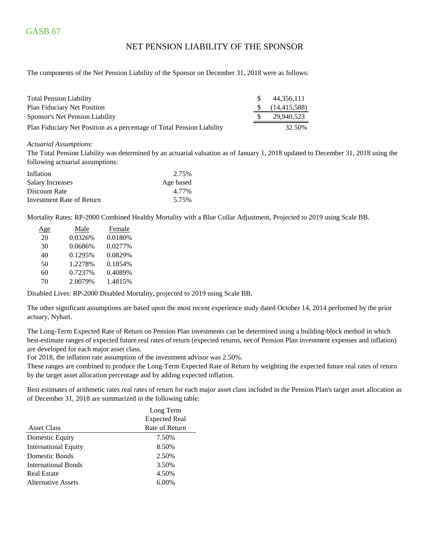### NET PENSION LIABILITY OF THE SPONSOR

The components of the Net Pension Liability of the Sponsor on December 31, 2018 were as follows:

| <b>Total Pension Liability</b>                                         | 44.356.111                 |
|------------------------------------------------------------------------|----------------------------|
| <b>Plan Fiduciary Net Position</b>                                     | $\frac{1}{2}$ (14,415,588) |
| Sponsor's Net Pension Liability                                        | 29.940.523                 |
| Plan Fiduciary Net Position as a percentage of Total Pension Liability | 32.50%                     |

#### *Actuarial Assumptions:*

The Total Pension Liability was determined by an actuarial valuation as of January 1, 2018 updated to December 31, 2018 using the following actuarial assumptions:

| Inflation                 | 2.75%     |
|---------------------------|-----------|
| <b>Salary Increases</b>   | Age based |
| Discount Rate             | 4.77%     |
| Investment Rate of Return | 5.75%     |

Mortality Rates: RP-2000 Combined Healthy Mortality with a Blue Collar Adjustment, Projected to 2019 using Scale BB.

| <u>Age</u> | Male    | Female  |
|------------|---------|---------|
| 20         | 0.0326% | 0.0180% |
| 30         | 0.0686% | 0.0277% |
| 40         | 0.1295% | 0.0829% |
| 50         | 1.2278% | 0.1854% |
| 60         | 0.7237% | 0.4089% |
| 70         | 2.0079% | 1.4815% |
|            |         |         |

Disabled Lives: RP-2000 Disabled Mortality, projected to 2019 using Scale BB.

The other significant assumptions are based upon the most recent experience study dated October 14, 2014 performed by the prior actuary, Nyhart.

The Long-Term Expected Rate of Return on Pension Plan investments can be determined using a building-block method in which best-estimate ranges of expected future real rates of return (expected returns, net of Pension Plan investment expenses and inflation) are developed for each major asset class.

For 2018, the inflation rate assumption of the investment advisor was 2.50%.

These ranges are combined to produce the Long-Term Expected Rate of Return by weighting the expected future real rates of return by the target asset allocation percentage and by adding expected inflation.

Best estimates of arithmetic rates real rates of return for each major asset class included in the Pension Plan's target asset allocation as of December 31, 2018 are summarized in the following table:

|                             | Long Term            |
|-----------------------------|----------------------|
|                             | <b>Expected Real</b> |
| <b>Asset Class</b>          | Rate of Return       |
| Domestic Equity             | 7.50%                |
| <b>International Equity</b> | 8.50%                |
| Domestic Bonds              | 2.50%                |
| <b>International Bonds</b>  | 3.50%                |
| <b>Real Estate</b>          | 4.50%                |
| Alternative Assets          | $6.00\%$             |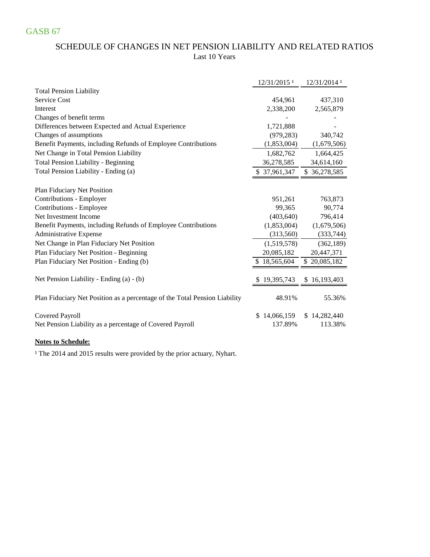### SCHEDULE OF CHANGES IN NET PENSION LIABILITY AND RELATED RATIOS Last 10 Years

|                                                                            | 12/31/2015 <sup>1</sup> | 12/31/2014 1 |
|----------------------------------------------------------------------------|-------------------------|--------------|
| <b>Total Pension Liability</b>                                             |                         |              |
| Service Cost                                                               | 454,961                 | 437,310      |
| Interest                                                                   | 2,338,200               | 2,565,879    |
| Changes of benefit terms                                                   |                         |              |
| Differences between Expected and Actual Experience                         | 1,721,888               |              |
| Changes of assumptions                                                     | (979, 283)              | 340,742      |
| Benefit Payments, including Refunds of Employee Contributions              | (1,853,004)             | (1,679,506)  |
| Net Change in Total Pension Liability                                      | 1,682,762               | 1,664,425    |
| <b>Total Pension Liability - Beginning</b>                                 | 36,278,585              | 34,614,160   |
| Total Pension Liability - Ending (a)                                       | \$37,961,347            | \$36,278,585 |
|                                                                            |                         |              |
| Plan Fiduciary Net Position                                                |                         |              |
| Contributions - Employer                                                   | 951,261                 | 763,873      |
| Contributions - Employee                                                   | 99,365                  | 90,774       |
| Net Investment Income                                                      | (403, 640)              | 796,414      |
| Benefit Payments, including Refunds of Employee Contributions              | (1,853,004)             | (1,679,506)  |
| Administrative Expense                                                     | (313,560)               | (333, 744)   |
| Net Change in Plan Fiduciary Net Position                                  | (1,519,578)             | (362, 189)   |
| Plan Fiduciary Net Position - Beginning                                    | 20,085,182              | 20,447,371   |
| Plan Fiduciary Net Position - Ending (b)                                   | \$18,565,604            | \$20,085,182 |
|                                                                            |                         |              |
| Net Pension Liability - Ending (a) - (b)                                   | 19,395,743              | \$16,193,403 |
|                                                                            |                         |              |
| Plan Fiduciary Net Position as a percentage of the Total Pension Liability | 48.91%                  | 55.36%       |
|                                                                            |                         |              |
| <b>Covered Payroll</b>                                                     | \$14,066,159            | \$14,282,440 |
| Net Pension Liability as a percentage of Covered Payroll                   | 137.89%                 | 113.38%      |
|                                                                            |                         |              |

#### **Notes to Schedule:**

<sup>1</sup> The 2014 and 2015 results were provided by the prior actuary, Nyhart.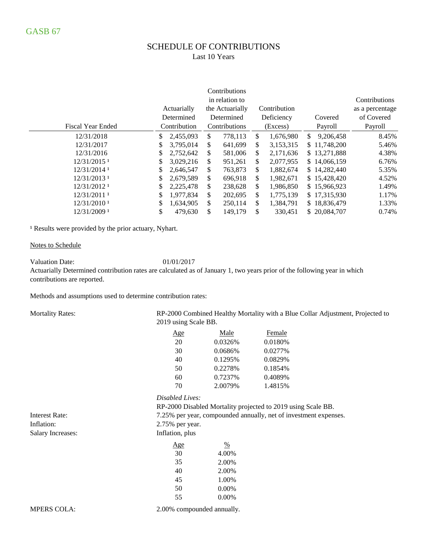### SCHEDULE OF CONTRIBUTIONS Last 10 Years

|                          |     |              | Contributions   |                 |     |              |                 |
|--------------------------|-----|--------------|-----------------|-----------------|-----|--------------|-----------------|
|                          |     |              | in relation to  |                 |     |              | Contributions   |
|                          |     | Actuarially  | the Actuarially | Contribution    |     |              | as a percentage |
|                          |     | Determined   | Determined      | Deficiency      |     | Covered      | of Covered      |
| <b>Fiscal Year Ended</b> |     | Contribution | Contributions   | (Excess)        |     | Payroll      | Payroll         |
| 12/31/2018               | S.  | 2,455,093    | \$<br>778.113   | \$<br>1,676,980 | \$. | 9,206,458    | 8.45%           |
| 12/31/2017               | \$. | 3,795,014    | \$<br>641,699   | \$<br>3,153,315 |     | \$11,748,200 | 5.46%           |
| 12/31/2016               | \$. | 2,752,642    | \$<br>581,006   | \$<br>2,171,636 |     | \$13,271,888 | 4.38%           |
| 12/31/2015 <sup>1</sup>  |     | 3,029,216    | \$<br>951,261   | \$<br>2,077,955 |     | \$14,066,159 | 6.76%           |
| 12/31/2014 1             | S   | 2,646,547    | \$<br>763.873   | \$<br>1,882,674 |     | \$14,282,440 | 5.35%           |
| 12/31/2013 1             |     | 2,679,589    | \$<br>696,918   | \$<br>1,982,671 |     | \$15,428,420 | 4.52%           |
| 12/31/2012 1             | S   | 2,225,478    | \$<br>238,628   | \$<br>1,986,850 |     | \$15,966,923 | 1.49%           |
| 12/31/2011 1             | S   | 1,977,834    | \$<br>202,695   | \$<br>1,775,139 |     | \$17,315,930 | 1.17%           |
| 12/31/2010 1             | \$  | 1,634,905    | \$<br>250,114   | \$<br>1,384,791 |     | \$18,836,479 | 1.33%           |
| 12/31/2009 1             | \$  | 479.630      | \$<br>149.179   | \$<br>330.451   |     | \$20,084,707 | 0.74%           |

<sup>1</sup> Results were provided by the prior actuary, Nyhart.

#### Notes to Schedule

Valuation Date: 01/01/2017

Actuarially Determined contribution rates are calculated as of January 1, two years prior of the following year in which contributions are reported.

Methods and assumptions used to determine contribution rates:

Mortality Rates:

RP-2000 Combined Healthy Mortality with a Blue Collar Adjustment, Projected to 2019 using Scale BB.

| Age | Male    | Female  |
|-----|---------|---------|
| 20  | 0.0326% | 0.0180% |
| 30  | 0.0686% | 0.0277% |
| 40  | 0.1295% | 0.0829% |
| 50  | 0.2278% | 0.1854% |
| 60  | 0.7237% | 0.4089% |
| 70  | 2.0079% | 1.4815% |

### *Disabled Lives:*

|                    | RP-2000 Disabled Mortality projected to 2019 using Scale BB.     |
|--------------------|------------------------------------------------------------------|
|                    | 7.25% per year, compounded annually, net of investment expenses. |
| $2.75\%$ per year. |                                                                  |
| Inflation, plus    |                                                                  |
| <u>Age</u>         | $\frac{0}{0}$                                                    |
| 30                 | 4.00%                                                            |
| 35                 | 2.00%                                                            |
| 40                 | 2.00%                                                            |
| 45                 | 1.00%                                                            |
| 50                 | 0.00%                                                            |
| 55                 | 0.00%                                                            |
| $0.0001$ 1 1 1     |                                                                  |

MPERS COLA:

Interest Rate: Inflation: Salary Increases:

2.00% compounded annually.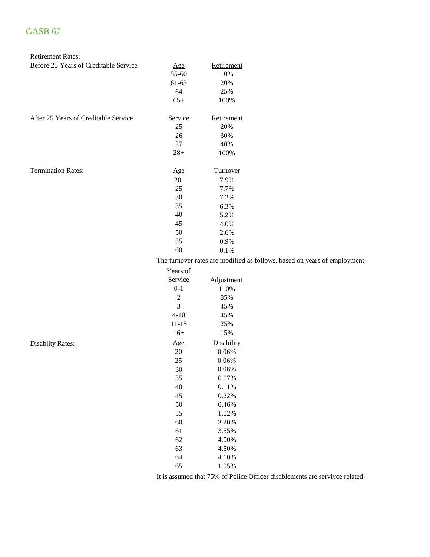#### Retirement Rates:

| Before 25 Years of Creditable Service | <u>Age</u>                        | Retirement      |
|---------------------------------------|-----------------------------------|-----------------|
|                                       | 55-60                             | 10%             |
|                                       | 61-63                             | 20%             |
|                                       | 64                                | 25%             |
|                                       | $65+$                             | 100%            |
| After 25 Years of Creditable Service  | Service                           | Retirement      |
|                                       | 25                                | 20%             |
|                                       | 26                                | 30%             |
|                                       | 27                                | 40%             |
|                                       | $28+$                             | 100%            |
| <b>Termination Rates:</b>             | <u>Age</u>                        | <b>Turnover</b> |
|                                       | 20                                | 7.9%            |
|                                       | 25                                | 7.7%            |
|                                       | 30                                | 7.2%            |
|                                       | 35                                | 6.3%            |
|                                       | 40                                | 5.2%            |
|                                       | 45                                | 4.0%            |
|                                       | 50                                | 2.6%            |
|                                       | 55                                | 0.9%            |
|                                       | 60                                | 0.1%            |
|                                       | The turnover rates are modified a |                 |

nover rates are modified as follows, based on years of employment:

| Years of       |            |
|----------------|------------|
| <u>Service</u> | Adjustment |
| $0 - 1$        | 110%       |
| $\overline{c}$ | 85%        |
| 3              | 45%        |
| $4 - 10$       | 45%        |
| 11-15          | 25%        |
| $16+$          | 15%        |
| <u>Age</u>     | Disability |
| 20             | 0.06%      |
| 25             | 0.06%      |
| 30             | 0.06%      |
| 35             | 0.07%      |
| 40             | 0.11%      |
| 45             | 0.22%      |
| 50             | 0.46%      |
| 55             | 1.02%      |
| 60             | 3.20%      |
| 61             | 3.55%      |
| 62             | 4.00%      |
| 63             | 4.50%      |
| 64             | 4.10%      |
| 65             | 1.95%      |

It is assumed that 75% of Police Officer disablements are servivce related.

Disablity Rates: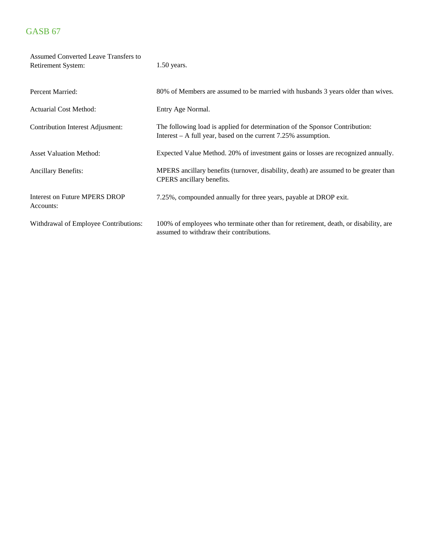| Assumed Converted Leave Transfers to<br>Retirement System: | $1.50$ years.                                                                                                                                    |
|------------------------------------------------------------|--------------------------------------------------------------------------------------------------------------------------------------------------|
| Percent Married:                                           | 80% of Members are assumed to be married with husbands 3 years older than wives.                                                                 |
| <b>Actuarial Cost Method:</b>                              | Entry Age Normal.                                                                                                                                |
| <b>Contribution Interest Adjusment:</b>                    | The following load is applied for determination of the Sponsor Contribution:<br>Interest $-$ A full year, based on the current 7.25% assumption. |
| <b>Asset Valuation Method:</b>                             | Expected Value Method. 20% of investment gains or losses are recognized annually.                                                                |
| <b>Ancillary Benefits:</b>                                 | MPERS ancillary benefits (turnover, disability, death) are assumed to be greater than<br>CPERS ancillary benefits.                               |
| <b>Interest on Future MPERS DROP</b><br>Accounts:          | 7.25%, compounded annually for three years, payable at DROP exit.                                                                                |
| Withdrawal of Employee Contributions:                      | 100% of employees who terminate other than for retirement, death, or disability, are<br>assumed to withdraw their contributions.                 |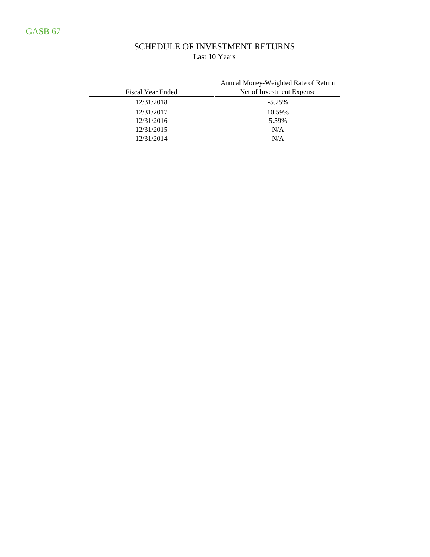## SCHEDULE OF INVESTMENT RETURNS Last 10 Years

| Fiscal Year Ended | Annual Money-Weighted Rate of Return<br>Net of Investment Expense |
|-------------------|-------------------------------------------------------------------|
| 12/31/2018        | $-5.25%$                                                          |
| 12/31/2017        | 10.59%                                                            |
| 12/31/2016        | 5.59%                                                             |
| 12/31/2015        | N/A                                                               |
| 12/31/2014        | N/A                                                               |

Police Guarantee Trust of the Employees' Retirement System of the City of Baton Rouge and Parish of East Baton Rouge FOSTER & FOSTER | 13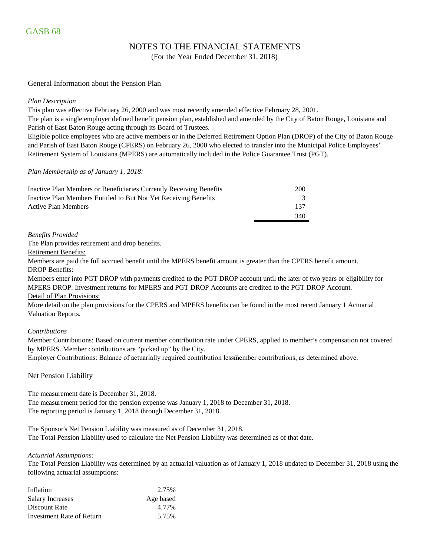### NOTES TO THE FINANCIAL STATEMENTS

(For the Year Ended December 31, 2018)

#### General Information about the Pension Plan

#### *Plan Description*

This plan was effective February 26, 2000 and was most recently amended effective February 28, 2001.

The plan is a single employer defined benefit pension plan, established and amended by the City of Baton Rouge, Louisiana and Parish of East Baton Rouge acting through its Board of Trustees.

Eligible police employees who are active members or in the Deferred Retirement Option Plan (DROP) of the City of Baton Rouge and Parish of East Baton Rouge (CPERS) on February 26, 2000 who elected to transfer into the Municipal Police Employees' Retirement System of Louisiana (MPERS) are automatically included in the Police Guarantee Trust (PGT).

#### *Plan Membership as of January 1, 2018:*

| Inactive Plan Members or Beneficiaries Currently Receiving Benefits | 200 |
|---------------------------------------------------------------------|-----|
| Inactive Plan Members Entitled to But Not Yet Receiving Benefits    |     |
| Active Plan Members                                                 | 137 |
|                                                                     | 340 |

#### *Benefits Provided*

The Plan provides retirement and drop benefits.

Retirement Benefits:

Members are paid the full accrued benefit until the MPERS benefit amount is greater than the CPERS benefit amount. DROP Benefits:

Detail of Plan Provisions: Members enter into PGT DROP with payments credited to the PGT DROP account until the later of two years or eligibility for MPERS DROP. Investment returns for MPERS and PGT DROP Accounts are credited to the PGT DROP Account.

More detail on the plan provisions for the CPERS and MPERS benefits can be found in the most recent January 1 Actuarial Valuation Reports.

#### *Contributions*

Member Contributions: Based on current member contribution rate under CPERS, applied to member's compensation not covered by MPERS. Member contributions are "picked up" by the City.

Employer Contributions: Balance of actuarially required contribution less member contributions, as determined above.

#### Net Pension Liability

The measurement date is December 31, 2018. The measurement period for the pension expense was January 1, 2018 to December 31, 2018. The reporting period is January 1, 2018 through December 31, 2018.

The Sponsor's Net Pension Liability was measured as of December 31, 2018. The Total Pension Liability used to calculate the Net Pension Liability was determined as of that date.

#### *Actuarial Assumptions:*

The Total Pension Liability was determined by an actuarial valuation as of January 1, 2018 updated to December 31, 2018 using the following actuarial assumptions:

| Inflation                 | 2.75%     |
|---------------------------|-----------|
| Salary Increases          | Age based |
| Discount Rate             | 4.77%     |
| Investment Rate of Return | 5.75%     |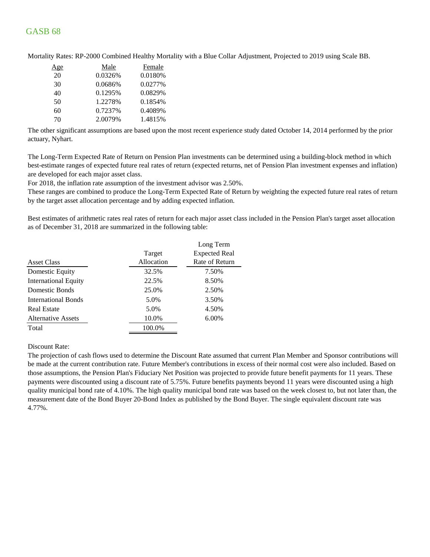| <u>Age</u> | Male    | Female  |
|------------|---------|---------|
| 20         | 0.0326% | 0.0180% |
| 30         | 0.0686% | 0.0277% |
| 40         | 0.1295% | 0.0829% |
| 50         | 1.2278% | 0.1854% |
| 60         | 0.7237% | 0.4089% |
| 70         | 2.0079% | 1.4815% |

Mortality Rates: RP-2000 Combined Healthy Mortality with a Blue Collar Adjustment, Projected to 2019 using Scale BB.

The other significant assumptions are based upon the most recent experience study dated October 14, 2014 performed by the prior actuary, Nyhart.

The Long-Term Expected Rate of Return on Pension Plan investments can be determined using a building-block method in which best-estimate ranges of expected future real rates of return (expected returns, net of Pension Plan investment expenses and inflation) are developed for each major asset class.

For 2018, the inflation rate assumption of the investment advisor was 2.50%.

These ranges are combined to produce the Long-Term Expected Rate of Return by weighting the expected future real rates of return by the target asset allocation percentage and by adding expected inflation.

Best estimates of arithmetic rates real rates of return for each major asset class included in the Pension Plan's target asset allocation as of December 31, 2018 are summarized in the following table:

|                             |            | Long Term            |
|-----------------------------|------------|----------------------|
|                             | Target     | <b>Expected Real</b> |
| <b>Asset Class</b>          | Allocation | Rate of Return       |
| Domestic Equity             | 32.5%      | 7.50%                |
| <b>International Equity</b> | 22.5%      | 8.50%                |
| Domestic Bonds              | 25.0%      | 2.50%                |
| <b>International Bonds</b>  | 5.0%       | 3.50%                |
| <b>Real Estate</b>          | 5.0%       | 4.50%                |
| <b>Alternative Assets</b>   | 10.0%      | 6.00%                |
| Total                       | 100.0%     |                      |
|                             |            |                      |

Discount Rate:

The projection of cash flows used to determine the Discount Rate assumed that current Plan Member and Sponsor contributions will be made at the current contribution rate. Future Member's contributions in excess of their normal cost were also included. Based on those assumptions, the Pension Plan's Fiduciary Net Position was projected to provide future benefit payments for 11 years. These payments were discounted using a discount rate of 5.75%. Future benefits payments beyond 11 years were discounted using a high quality municipal bond rate of 4.10%. The high quality municipal bond rate was based on the week closest to, but not later than, the measurement date of the Bond Buyer 20-Bond Index as published by the Bond Buyer. The single equivalent discount rate was 4.77%.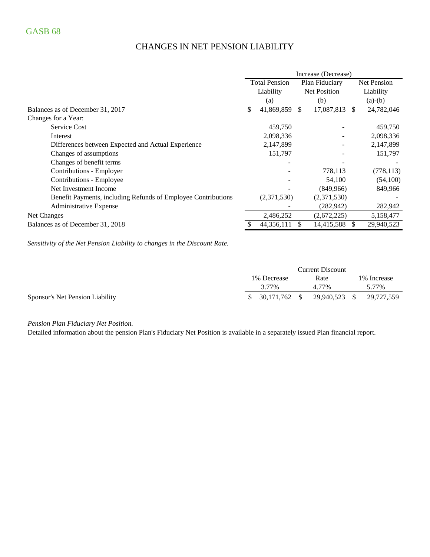## CHANGES IN NET PENSION LIABILITY

|                                                               | Increase (Decrease)                    |             |                     |                    |               |            |
|---------------------------------------------------------------|----------------------------------------|-------------|---------------------|--------------------|---------------|------------|
|                                                               | <b>Total Pension</b><br>Plan Fiduciary |             |                     | <b>Net Pension</b> |               |            |
|                                                               | Liability                              |             | <b>Net Position</b> |                    | Liability     |            |
|                                                               |                                        | (a)         |                     | (b)                |               | $(a)-(b)$  |
| Balances as of December 31, 2017                              | \$                                     | 41,869,859  | <sup>\$</sup>       | 17,087,813         | <sup>\$</sup> | 24,782,046 |
| Changes for a Year:                                           |                                        |             |                     |                    |               |            |
| <b>Service Cost</b>                                           |                                        | 459,750     |                     |                    |               | 459,750    |
| Interest                                                      |                                        | 2,098,336   |                     |                    |               | 2,098,336  |
| Differences between Expected and Actual Experience            |                                        | 2,147,899   |                     |                    |               | 2,147,899  |
| Changes of assumptions                                        |                                        | 151,797     |                     |                    |               | 151,797    |
| Changes of benefit terms                                      |                                        |             |                     |                    |               |            |
| Contributions - Employer                                      |                                        |             |                     | 778,113            |               | (778, 113) |
| Contributions - Employee                                      |                                        |             |                     | 54,100             |               | (54,100)   |
| Net Investment Income                                         |                                        |             |                     | (849,966)          |               | 849,966    |
| Benefit Payments, including Refunds of Employee Contributions |                                        | (2,371,530) |                     | (2,371,530)        |               |            |
| Administrative Expense                                        |                                        |             |                     | (282, 942)         |               | 282,942    |
| Net Changes                                                   |                                        | 2,486,252   |                     | (2,672,225)        |               | 5,158,477  |
| Balances as of December 31, 2018                              |                                        | 44,356,111  |                     | 14,415,588         | S             | 29,940,523 |

*Sensitivity of the Net Pension Liability to changes in the Discount Rate.*

|                                 |                  | <b>Current Discount</b> |                          |
|---------------------------------|------------------|-------------------------|--------------------------|
|                                 | 1% Decrease      | Rate                    | 1\% Increase             |
|                                 | 3.77%            | 4 77%                   | 5.77%                    |
| Sponsor's Net Pension Liability | $$30.171.762$ \$ |                         | 29,940,523 \$ 29,727,559 |

*Pension Plan Fiduciary Net Position.* 

Detailed information about the pension Plan's Fiduciary Net Position is available in a separately issued Plan financial report.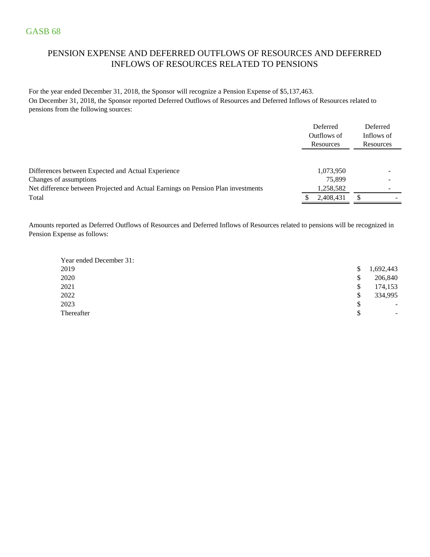## PENSION EXPENSE AND DEFERRED OUTFLOWS OF RESOURCES AND DEFERRED INFLOWS OF RESOURCES RELATED TO PENSIONS

For the year ended December 31, 2018, the Sponsor will recognize a Pension Expense of \$5,137,463. On December 31, 2018, the Sponsor reported Deferred Outflows of Resources and Deferred Inflows of Resources related to pensions from the following sources:

|                                                                                  | Deferred<br>Outflows of<br>Resources | Deferred<br>Inflows of<br>Resources |
|----------------------------------------------------------------------------------|--------------------------------------|-------------------------------------|
| Differences between Expected and Actual Experience                               | 1,073,950                            |                                     |
| Changes of assumptions                                                           | 75,899                               | -                                   |
| Net difference between Projected and Actual Earnings on Pension Plan investments | 1,258,582                            | ۰                                   |
| Total                                                                            | 2,408,431                            |                                     |

Amounts reported as Deferred Outflows of Resources and Deferred Inflows of Resources related to pensions will be recognized in Pension Expense as follows:

| Year ended December 31: |    |                          |
|-------------------------|----|--------------------------|
| 2019                    | \$ | 1,692,443                |
| 2020                    | S  | 206,840                  |
| 2021                    | \$ | 174,153                  |
| 2022                    | \$ | 334,995                  |
| 2023                    | \$ | $\overline{\phantom{a}}$ |
| Thereafter              | \$ | $\overline{\phantom{a}}$ |
|                         |    |                          |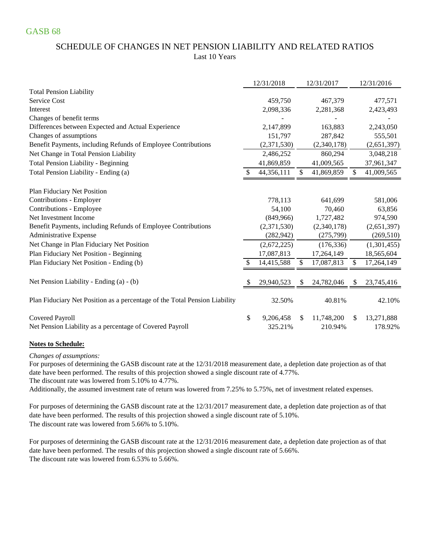### SCHEDULE OF CHANGES IN NET PENSION LIABILITY AND RELATED RATIOS Last 10 Years

|                                                                            | 12/31/2018      |    | 12/31/2017  |     | 12/31/2016  |
|----------------------------------------------------------------------------|-----------------|----|-------------|-----|-------------|
| <b>Total Pension Liability</b>                                             |                 |    |             |     |             |
| Service Cost                                                               | 459,750         |    | 467,379     |     | 477,571     |
| Interest                                                                   | 2,098,336       |    | 2,281,368   |     | 2,423,493   |
| Changes of benefit terms                                                   |                 |    |             |     |             |
| Differences between Expected and Actual Experience                         | 2,147,899       |    | 163,883     |     | 2,243,050   |
| Changes of assumptions                                                     | 151,797         |    | 287,842     |     | 555,501     |
| Benefit Payments, including Refunds of Employee Contributions              | (2,371,530)     |    | (2,340,178) |     | (2,651,397) |
| Net Change in Total Pension Liability                                      | 2,486,252       |    | 860,294     |     | 3,048,218   |
| <b>Total Pension Liability - Beginning</b>                                 | 41,869,859      |    | 41,009,565  |     | 37,961,347  |
| Total Pension Liability - Ending (a)                                       | 44,356,111      | \$ | 41,869,859  | \$  | 41,009,565  |
| Plan Fiduciary Net Position                                                |                 |    |             |     |             |
| Contributions - Employer                                                   | 778,113         |    | 641,699     |     | 581,006     |
| Contributions - Employee                                                   | 54,100          |    | 70,460      |     | 63,856      |
| Net Investment Income                                                      | (849,966)       |    | 1,727,482   |     | 974,590     |
| Benefit Payments, including Refunds of Employee Contributions              | (2,371,530)     |    | (2,340,178) |     | (2,651,397) |
| Administrative Expense                                                     | (282, 942)      |    | (275,799)   |     | (269, 510)  |
| Net Change in Plan Fiduciary Net Position                                  | (2,672,225)     |    | (176, 336)  |     | (1,301,455) |
| Plan Fiduciary Net Position - Beginning                                    | 17,087,813      |    | 17,264,149  |     | 18,565,604  |
| Plan Fiduciary Net Position - Ending (b)                                   | 14,415,588      | \$ | 17,087,813  | \$  | 17,264,149  |
| Net Pension Liability - Ending (a) - (b)                                   | 29,940,523      | S  | 24,782,046  | S   | 23,745,416  |
| Plan Fiduciary Net Position as a percentage of the Total Pension Liability | 32.50%          |    | 40.81%      |     | 42.10%      |
| Covered Payroll                                                            | \$<br>9,206,458 | S  | 11,748,200  | \$. | 13,271,888  |
| Net Pension Liability as a percentage of Covered Payroll                   | 325.21%         |    | 210.94%     |     | 178.92%     |

#### **Notes to Schedule:**

*Changes of assumptions:*

The discount rate was lowered from 5.10% to 4.77%. date have been performed. The results of this projection showed a single discount rate of 4.77%. For purposes of determining the GASB discount rate at the 12/31/2018 measurement date, a depletion date projection as of that

Additionally, the assumed investment rate of return was lowered from 7.25% to 5.75%, net of investment related expenses.

For purposes of determining the GASB discount rate at the 12/31/2017 measurement date, a depletion date projection as of that date have been performed. The results of this projection showed a single discount rate of 5.10%. The discount rate was lowered from 5.66% to 5.10%.

For purposes of determining the GASB discount rate at the 12/31/2016 measurement date, a depletion date projection as of that date have been performed. The results of this projection showed a single discount rate of 5.66%. The discount rate was lowered from 6.53% to 5.66%.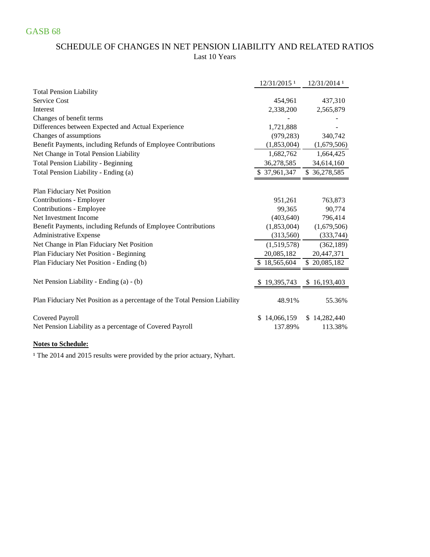## SCHEDULE OF CHANGES IN NET PENSION LIABILITY AND RELATED RATIOS Last 10 Years

|                                                                            | 12/31/2015 <sup>1</sup> | 12/31/2014 1 |
|----------------------------------------------------------------------------|-------------------------|--------------|
| <b>Total Pension Liability</b>                                             |                         |              |
| Service Cost                                                               | 454,961                 | 437,310      |
| Interest                                                                   | 2,338,200               | 2,565,879    |
| Changes of benefit terms                                                   |                         |              |
| Differences between Expected and Actual Experience                         | 1,721,888               |              |
| Changes of assumptions                                                     | (979, 283)              | 340,742      |
| Benefit Payments, including Refunds of Employee Contributions              | (1,853,004)             | (1,679,506)  |
| Net Change in Total Pension Liability                                      | 1,682,762               | 1,664,425    |
| <b>Total Pension Liability - Beginning</b>                                 | 36,278,585              | 34,614,160   |
| Total Pension Liability - Ending (a)                                       | \$37,961,347            | \$36,278,585 |
| Plan Fiduciary Net Position                                                |                         |              |
| Contributions - Employer                                                   | 951,261                 | 763,873      |
| Contributions - Employee                                                   | 99,365                  | 90,774       |
| Net Investment Income                                                      | (403, 640)              | 796,414      |
| Benefit Payments, including Refunds of Employee Contributions              | (1,853,004)             | (1,679,506)  |
| Administrative Expense                                                     | (313,560)               | (333,744)    |
| Net Change in Plan Fiduciary Net Position                                  | (1,519,578)             | (362, 189)   |
| Plan Fiduciary Net Position - Beginning                                    | 20,085,182              | 20,447,371   |
| Plan Fiduciary Net Position - Ending (b)                                   | \$18,565,604            | \$20,085,182 |
|                                                                            |                         |              |
| Net Pension Liability - Ending (a) - (b)                                   | 19,395,743              | \$16,193,403 |
| Plan Fiduciary Net Position as a percentage of the Total Pension Liability | 48.91%                  | 55.36%       |
| <b>Covered Payroll</b>                                                     | \$14,066,159            | \$14,282,440 |
| Net Pension Liability as a percentage of Covered Payroll                   | 137.89%                 | 113.38%      |

#### **Notes to Schedule:**

<sup>1</sup> The 2014 and 2015 results were provided by the prior actuary, Nyhart.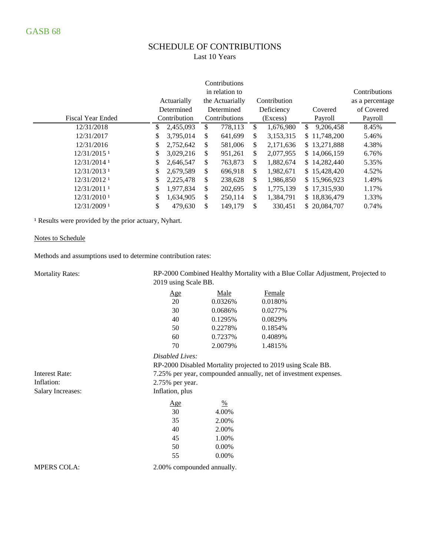# SCHEDULE OF CONTRIBUTIONS

Last 10 Years

|                           |                 | in relation to |                 | Contributions |              |                 |                 |
|---------------------------|-----------------|----------------|-----------------|---------------|--------------|-----------------|-----------------|
|                           | Actuarially     |                | the Actuarially |               | Contribution |                 | as a percentage |
|                           | Determined      |                | Determined      |               | Deficiency   | Covered         | of Covered      |
| <b>Fiscal Year Ended</b>  | Contribution    |                | Contributions   |               | (Excess)     | Payroll         | Payroll         |
| 12/31/2018                | 2,455,093       | \$             | 778,113         | \$.           | 1,676,980    | \$<br>9,206,458 | 8.45%           |
| 12/31/2017                | \$<br>3,795,014 | \$             | 641,699         | \$            | 3,153,315    | \$11,748,200    | 5.46%           |
| 12/31/2016                | \$<br>2,752,642 | \$             | 581,006         | \$            | 2,171,636    | \$13,271,888    | 4.38%           |
| $12/31/2015$ <sup>1</sup> | \$<br>3,029,216 | \$             | 951,261         | \$            | 2,077,955    | \$14,066,159    | 6.76%           |
| 12/31/2014 1              | \$<br>2,646,547 | \$             | 763,873         | \$            | 1,882,674    | \$14,282,440    | 5.35%           |
| $12/31/2013$ <sup>1</sup> | \$<br>2,679,589 | \$             | 696,918         | \$            | 1,982,671    | \$15,428,420    | 4.52%           |
| 12/31/2012 1              | 2,225,478       | \$             | 238,628         | \$            | 1,986,850    | \$15,966,923    | 1.49%           |
| 12/31/2011 1              | \$<br>1,977,834 | \$             | 202,695         | \$            | 1,775,139    | \$17,315,930    | 1.17%           |
| $12/31/2010$ <sup>1</sup> | \$<br>1,634,905 | \$             | 250,114         | \$            | 1,384,791    | \$18,836,479    | 1.33%           |
| 12/31/2009 1              | \$<br>479,630   | \$             | 149,179         | \$            | 330,451      | \$20,084,707    | 0.74%           |

<sup>1</sup> Results were provided by the prior actuary, Nyhart.

#### Notes to Schedule

Methods and assumptions used to determine contribution rates:

| <b>Mortality Rates:</b>  | 2019 using Scale BB.       |               | RP-2000 Combined Healthy Mortality with a Blue Collar Adjustment, Projected to |
|--------------------------|----------------------------|---------------|--------------------------------------------------------------------------------|
|                          | <u>Age</u>                 | Male          | Female                                                                         |
|                          | 20                         | 0.0326%       | 0.0180%                                                                        |
|                          | 30                         | 0.0686%       | 0.0277%                                                                        |
|                          | 40                         | 0.1295%       | 0.0829%                                                                        |
|                          | 50                         | 0.2278%       | 0.1854%                                                                        |
|                          | 60                         | 0.7237%       | 0.4089%                                                                        |
|                          | 70                         | 2.0079%       | 1.4815%                                                                        |
|                          | Disabled Lives:            |               |                                                                                |
|                          |                            |               | RP-2000 Disabled Mortality projected to 2019 using Scale BB.                   |
| <b>Interest Rate:</b>    |                            |               | 7.25% per year, compounded annually, net of investment expenses.               |
| Inflation:               | 2.75% per year.            |               |                                                                                |
| <b>Salary Increases:</b> | Inflation, plus            |               |                                                                                |
|                          | <u>Age</u>                 | $\frac{0}{0}$ |                                                                                |
|                          | 30                         | 4.00%         |                                                                                |
|                          | 35                         | 2.00%         |                                                                                |
|                          | 40                         | 2.00%         |                                                                                |
|                          | 45                         | 1.00%         |                                                                                |
|                          | 50                         | 0.00%         |                                                                                |
|                          | 55                         | 0.00%         |                                                                                |
| <b>MPERS COLA:</b>       | 2.00% compounded annually. |               |                                                                                |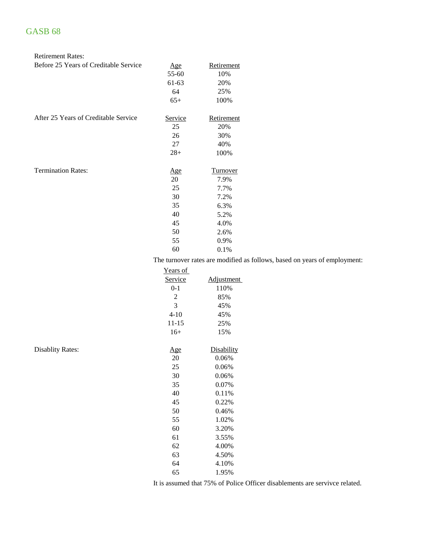Disablity Rates:

| <b>Retirement Rates:</b>              |            |                                    |
|---------------------------------------|------------|------------------------------------|
| Before 25 Years of Creditable Service | <u>Age</u> | Retirement                         |
|                                       | 55-60      | 10%                                |
|                                       | 61-63      | 20%                                |
|                                       | 64         | 25%                                |
|                                       | $65+$      | 100%                               |
| After 25 Years of Creditable Service  | Service    | Retirement                         |
|                                       | 25         | 20%                                |
|                                       | 26         | 30%                                |
|                                       | 27         | 40%                                |
|                                       | $28+$      | 100%                               |
| <b>Termination Rates:</b>             | <u>Age</u> | <b>Turnover</b>                    |
|                                       | 20         | 7.9%                               |
|                                       | 25         | 7.7%                               |
|                                       | 30         | 7.2%                               |
|                                       | 35         | 6.3%                               |
|                                       | 40         | 5.2%                               |
|                                       | 45         | 4.0%                               |
|                                       | 50         | 2.6%                               |
|                                       | 55         | 0.9%                               |
|                                       | 60         | 0.1%                               |
|                                       |            | The turnover rates are modified as |

follows, based on years of employment:

| <u>Years of</u> |                   |
|-----------------|-------------------|
| Service         | <b>Adjustment</b> |
| $0 - 1$         | 110%              |
| $\overline{c}$  | 85%               |
| 3               | 45%               |
| $4 - 10$        | 45%               |
| $11 - 15$       | 25%               |
| $16+$           | 15%               |
|                 |                   |
| <u>Age</u>      | Disability        |
| 20              | 0.06%             |
| 25              | 0.06%             |
| 30              | 0.06%             |
| 35              | 0.07%             |
| 40              | 0.11%             |
| 45              | 0.22%             |
| 50              | 0.46%             |
| 55              | 1.02%             |
| 60              | 3.20%             |
| 61              | 3.55%             |
| 62              | 4.00%             |
| 63              | 4.50%             |
| 64              | 4.10%             |
| 65              | 1.95%             |
|                 |                   |

It is assumed that 75% of Police Officer disablements are servivce related.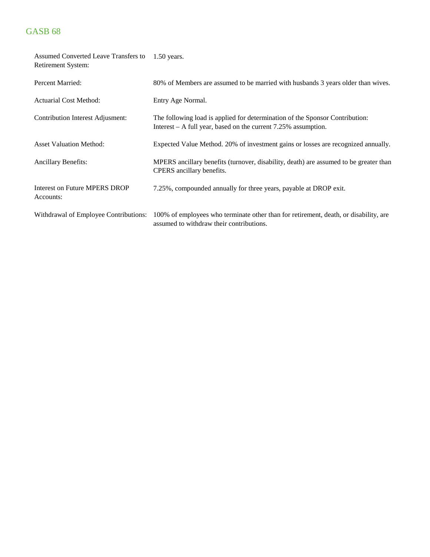| Assumed Converted Leave Transfers to<br>Retirement System: | $1.50$ years.                                                                                                                                    |
|------------------------------------------------------------|--------------------------------------------------------------------------------------------------------------------------------------------------|
| Percent Married:                                           | 80% of Members are assumed to be married with husbands 3 years older than wives.                                                                 |
| <b>Actuarial Cost Method:</b>                              | Entry Age Normal.                                                                                                                                |
| Contribution Interest Adjusment:                           | The following load is applied for determination of the Sponsor Contribution:<br>Interest $- A$ full year, based on the current 7.25% assumption. |
| <b>Asset Valuation Method:</b>                             | Expected Value Method. 20% of investment gains or losses are recognized annually.                                                                |
| <b>Ancillary Benefits:</b>                                 | MPERS ancillary benefits (turnover, disability, death) are assumed to be greater than<br>CPERS ancillary benefits.                               |
| <b>Interest on Future MPERS DROP</b><br>Accounts:          | 7.25%, compounded annually for three years, payable at DROP exit.                                                                                |
| Withdrawal of Employee Contributions:                      | 100% of employees who terminate other than for retirement, death, or disability, are<br>assumed to withdraw their contributions.                 |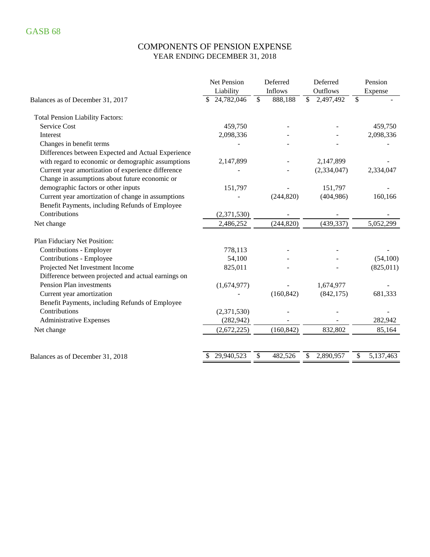### COMPONENTS OF PENSION EXPENSE YEAR ENDING DECEMBER 31, 2018

|                                                     | Net Pension | Deferred                            | Deferred                              | Pension         |
|-----------------------------------------------------|-------------|-------------------------------------|---------------------------------------|-----------------|
|                                                     | Liability   | Inflows                             | Outflows                              | Expense         |
| Balances as of December 31, 2017                    | 24,782,046  | $\overline{\mathcal{S}}$<br>888,188 | $\overline{\mathcal{S}}$<br>2,497,492 | \$              |
| <b>Total Pension Liability Factors:</b>             |             |                                     |                                       |                 |
| <b>Service Cost</b>                                 | 459,750     |                                     |                                       | 459,750         |
| Interest                                            | 2,098,336   |                                     |                                       | 2,098,336       |
| Changes in benefit terms                            |             |                                     |                                       |                 |
| Differences between Expected and Actual Experience  |             |                                     |                                       |                 |
| with regard to economic or demographic assumptions  | 2,147,899   |                                     | 2,147,899                             |                 |
| Current year amortization of experience difference  |             |                                     | (2, 334, 047)                         | 2,334,047       |
| Change in assumptions about future economic or      |             |                                     |                                       |                 |
| demographic factors or other inputs                 | 151,797     |                                     | 151,797                               |                 |
| Current year amortization of change in assumptions  |             | (244, 820)                          | (404, 986)                            | 160,166         |
| Benefit Payments, including Refunds of Employee     |             |                                     |                                       |                 |
| Contributions                                       | (2,371,530) |                                     |                                       |                 |
| Net change                                          | 2,486,252   | (244, 820)                          | (439, 337)                            | 5,052,299       |
| Plan Fiduciary Net Position:                        |             |                                     |                                       |                 |
| Contributions - Employer                            | 778,113     |                                     |                                       |                 |
| Contributions - Employee                            | 54,100      |                                     |                                       | (54,100)        |
| Projected Net Investment Income                     | 825,011     |                                     |                                       | (825, 011)      |
| Difference between projected and actual earnings on |             |                                     |                                       |                 |
| Pension Plan investments                            | (1,674,977) |                                     | 1,674,977                             |                 |
| Current year amortization                           |             | (160, 842)                          | (842, 175)                            | 681,333         |
| Benefit Payments, including Refunds of Employee     |             |                                     |                                       |                 |
| Contributions                                       | (2,371,530) |                                     |                                       |                 |
| <b>Administrative Expenses</b>                      | (282, 942)  |                                     |                                       | 282,942         |
| Net change                                          | (2,672,225) | (160, 842)                          | 832,802                               | 85,164          |
|                                                     | 29,940,523  | \$<br>482,526                       | \$<br>2,890,957                       | \$<br>5,137,463 |
| Balances as of December 31, 2018                    |             |                                     |                                       |                 |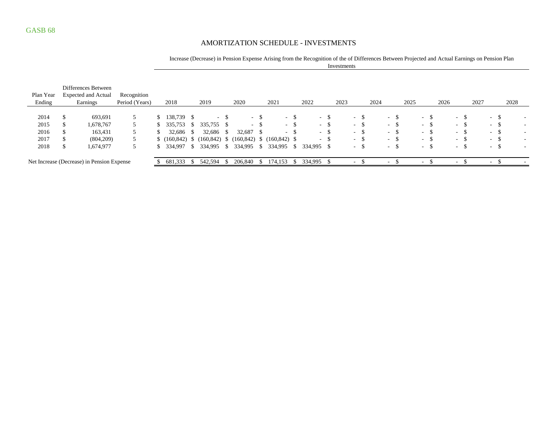### AMORTIZATION SCHEDULE - INVESTMENTS

| Increase (Decrease) in Pension Expense Arising from the Recognition of the of Differences Between Projected and Actual Earnings on Pension Plan |
|-------------------------------------------------------------------------------------------------------------------------------------------------|
| Investments                                                                                                                                     |

| Plan Year<br>Ending | Differences Between<br><b>Expected and Actual</b><br>Earnings | Recognition<br>Period (Years) | 2018       |              | 2019                                                        | 2020      |        | 2021       |        | 2022       |        | 2023   |        | 2024                     |        | 2025 |        | 2026          |                  |      | 2027 |            |               | 2028 |  |
|---------------------|---------------------------------------------------------------|-------------------------------|------------|--------------|-------------------------------------------------------------|-----------|--------|------------|--------|------------|--------|--------|--------|--------------------------|--------|------|--------|---------------|------------------|------|------|------------|---------------|------|--|
|                     |                                                               |                               |            |              |                                                             |           |        |            |        |            |        |        |        |                          |        |      |        |               |                  |      |      |            |               |      |  |
| 2014                | 693,691                                                       |                               | 138,739 \$ |              | $\sim$                                                      |           | $-$ \$ |            | $-$ \$ | $\sim$     | - \$   | $\sim$ | - \$   | $\sim$                   | - 35   |      | $\sim$ | -S            | <b>Contract</b>  |      |      | $\sim 100$ | -S            |      |  |
| 2015                | 1,678,767                                                     |                               | 335,753    | - S          | 335,755 \$                                                  |           | $- S$  |            | $-$ \$ |            | $-$ \$ |        | $-$ \$ |                          | - 5    |      | $\sim$ | -S            | $\sim$ 100 $\mu$ | - 79 |      | $\sim$     | -S            | ۰    |  |
| 2016                | 163,431                                                       |                               | 32,686 \$  |              | 32,686 \$                                                   | 32,687 \$ |        |            | $-$ \$ |            | $-$ \$ | $\sim$ | - \$   |                          | $-$ \$ |      | $\sim$ | -S            | $\sim$ 100 $\mu$ | - 75 |      | $\sim$     | -S            |      |  |
| 2017                | (804,209)                                                     |                               |            |              | $(160,842)$ \$ $(160,842)$ \$ $(160,842)$ \$ $(160,842)$ \$ |           |        |            |        |            | $-$ \$ | $\sim$ | -S     |                          | - ക    |      | $\sim$ | <sup>\$</sup> | $\sim$ 10 $\pm$  |      |      | $\sim$     | <sup>\$</sup> | ۰    |  |
| 2018                | 1,674,977                                                     |                               | 334,997    | $\mathbf{s}$ | 334,995 \$ 334,995 \$                                       |           |        | 334,995 \$ |        | 334,995 \$ |        | $\sim$ | - \$   |                          | - ა    |      | $\sim$ | <sup>\$</sup> | . .              | - 79 |      | $\sim$     | -S            |      |  |
|                     |                                                               |                               |            |              |                                                             |           |        |            |        |            |        |        |        |                          |        |      |        |               |                  |      |      |            |               |      |  |
|                     | Net Increase (Decrease) in Pension Expense                    |                               | 681,333    | -S           | 542,594                                                     | 206,840   | -S     | 174.153    | -85    | 334,995 \$ |        |        |        | $\overline{\phantom{a}}$ |        |      | $\sim$ |               | $\sim$           |      |      | $\sim$     |               |      |  |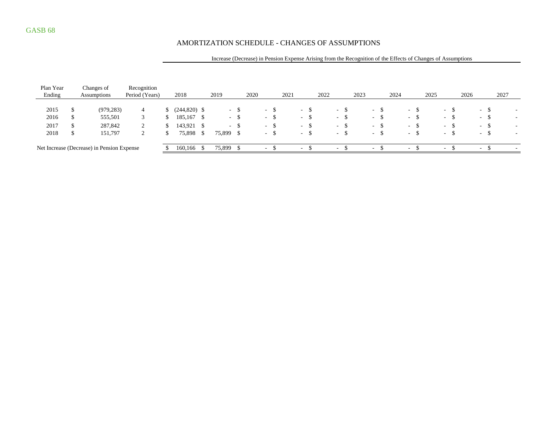### AMORTIZATION SCHEDULE - CHANGES OF ASSUMPTIONS

#### Increase (Decrease) in Pension Expense Arising from the Recognition of the Effects of Changes of Assumptions

| Plan Year |    | Changes of                                 | Recognition    |     |                |            |        |      |                          |      |                          |        |      |        |        |      |                          |      |                  |      |      |                        |      |                          |        |      |                          |
|-----------|----|--------------------------------------------|----------------|-----|----------------|------------|--------|------|--------------------------|------|--------------------------|--------|------|--------|--------|------|--------------------------|------|------------------|------|------|------------------------|------|--------------------------|--------|------|--------------------------|
| Ending    |    | Assumptions                                | Period (Years) |     | 2018           | 2019       |        | 2020 |                          | 2021 |                          |        | 2022 |        |        | 2023 |                          | 2024 |                  |      | 2025 |                        | 2026 |                          |        | 2027 |                          |
|           |    |                                            |                |     |                |            |        |      |                          |      |                          |        |      |        |        |      |                          |      |                  |      |      |                        |      |                          |        |      |                          |
| 2015      |    | (979, 283)                                 | 4              | ЭĐ. | $(244,820)$ \$ |            | - 8    |      | $\sim$                   |      |                          | - ১    |      |        | $-S$   |      | $-$ \$                   |      | $\sim$           | -S   |      | - \$<br>$\sim$ 10 $\,$ |      |                          | $-S$   |      | $\overline{\phantom{a}}$ |
| 2016      | ۰D | 555,501                                    |                | Ъ.  | 185,167 \$     | $\sim$ $-$ | - S    |      | $\sim$                   |      |                          | $-8$   |      | $\sim$ | - \$   |      | $\sim$                   | - \$ | $\sim$           | -S   |      | $\sim$ 10 $\pm$        | - \$ | $\sim$                   | -S     |      | $\overline{\phantom{a}}$ |
| 2017      |    | 287,842                                    |                | ъ   | 143,921        |            | $-$ \$ |      | $-$ \$                   |      |                          | $-$ \$ |      |        | $-$ \$ |      | $-$ \$                   |      |                  | $-S$ |      | $-$ \$                 |      |                          | $-$ \$ |      | $\overline{\phantom{a}}$ |
| 2018      | D  | 151,797                                    | ∠              | Ъ   | 75,898 \$      | 75,899 \$  |        |      | $\sim$                   |      |                          | $-$ \$ |      |        | $-$ \$ |      | $-$ \$                   |      | $\sim$ 100 $\mu$ |      |      | $\sim$ 10 $\,$         | -\$  | $\sim$                   | -S     |      | $\sim$                   |
|           |    |                                            |                |     |                |            |        |      |                          |      |                          |        |      |        |        |      |                          |      |                  |      |      |                        |      |                          |        |      |                          |
|           |    | Net Increase (Decrease) in Pension Expense |                |     | 160,166        | 75,899     |        |      | $\overline{\phantom{a}}$ |      | $\overline{\phantom{a}}$ |        |      | $\sim$ |        |      | $\overline{\phantom{0}}$ |      | $\sim$           |      |      | $\sim$                 |      | $\overline{\phantom{a}}$ |        |      | $\overline{\phantom{a}}$ |